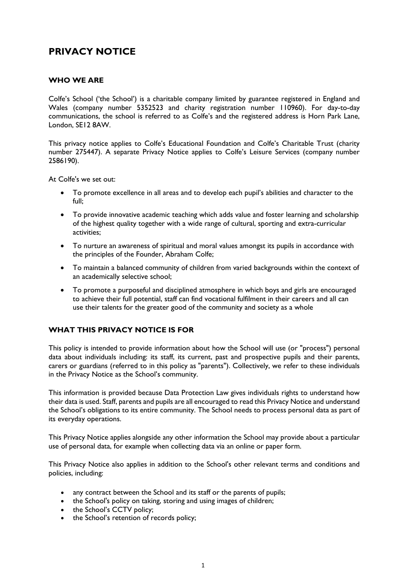# **PRIVACY NOTICE**

### **WHO WE ARE**

Colfe's School ('the School') is a charitable company limited by guarantee registered in England and Wales (company number 5352523 and charity registration number 110960). For day-to-day communications, the school is referred to as Colfe's and the registered address is Horn Park Lane, London, SE12 8AW.

This privacy notice applies to Colfe's Educational Foundation and Colfe's Charitable Trust (charity number 275447). A separate Privacy Notice applies to Colfe's Leisure Services (company number 2586190).

At Colfe's we set out:

- To promote excellence in all areas and to develop each pupil's abilities and character to the full;
- To provide innovative academic teaching which adds value and foster learning and scholarship of the highest quality together with a wide range of cultural, sporting and extra-curricular activities;
- To nurture an awareness of spiritual and moral values amongst its pupils in accordance with the principles of the Founder, Abraham Colfe;
- To maintain a balanced community of children from varied backgrounds within the context of an academically selective school;
- To promote a purposeful and disciplined atmosphere in which boys and girls are encouraged to achieve their full potential, staff can find vocational fulfilment in their careers and all can use their talents for the greater good of the community and society as a whole

### **WHAT THIS PRIVACY NOTICE IS FOR**

This policy is intended to provide information about how the School will use (or "process") personal data about individuals including: its staff, its current, past and prospective pupils and their parents, carers or guardians (referred to in this policy as "parents"). Collectively, we refer to these individuals in the Privacy Notice as the School's community.

This information is provided because Data Protection Law gives individuals rights to understand how their data is used. Staff, parents and pupils are all encouraged to read this Privacy Notice and understand the School's obligations to its entire community. The School needs to process personal data as part of its everyday operations.

This Privacy Notice applies alongside any other information the School may provide about a particular use of personal data, for example when collecting data via an online or paper form.

This Privacy Notice also applies in addition to the School's other relevant terms and conditions and policies, including:

- any contract between the School and its staff or the parents of pupils;
- the School's policy on taking, storing and using images of children;
- the School's CCTV policy;
- the School's retention of records policy;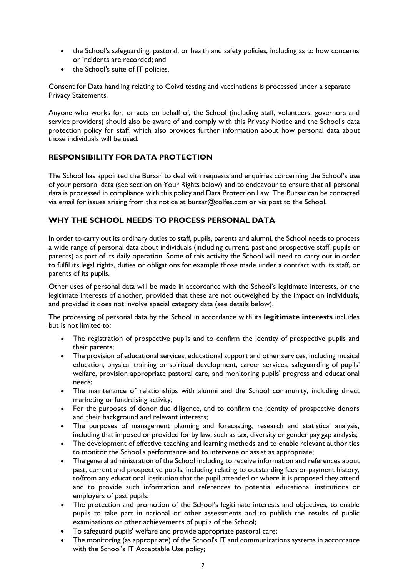- the School's safeguarding, pastoral, or health and safety policies, including as to how concerns or incidents are recorded; and
- the School's suite of IT policies.

Consent for Data handling relating to Coivd testing and vaccinations is processed under a separate Privacy Statements.

Anyone who works for, or acts on behalf of, the School (including staff, volunteers, governors and service providers) should also be aware of and comply with this Privacy Notice and the School's data protection policy for staff, which also provides further information about how personal data about those individuals will be used.

### **RESPONSIBILITY FOR DATA PROTECTION**

The School has appointed the Bursar to deal with requests and enquiries concerning the School's use of your personal data (see section on Your Rights below) and to endeavour to ensure that all personal data is processed in compliance with this policy and Data Protection Law. The Bursar can be contacted via email for issues arising from this notice at [bursar@colfes.com](mailto:bursar@colfes.com) or via post to the School.

### **WHY THE SCHOOL NEEDS TO PROCESS PERSONAL DATA**

In order to carry out its ordinary duties to staff, pupils, parents and alumni, the School needs to process a wide range of personal data about individuals (including current, past and prospective staff, pupils or parents) as part of its daily operation. Some of this activity the School will need to carry out in order to fulfil its legal rights, duties or obligations for example those made under a contract with its staff, or parents of its pupils.

Other uses of personal data will be made in accordance with the School's legitimate interests, or the legitimate interests of another, provided that these are not outweighed by the impact on individuals, and provided it does not involve special category data (see details below).

The processing of personal data by the School in accordance with its **legitimate interests** includes but is not limited to:

- The registration of prospective pupils and to confirm the identity of prospective pupils and their parents;
- The provision of educational services, educational support and other services, including musical education, physical training or spiritual development, career services, safeguarding of pupils' welfare, provision appropriate pastoral care, and monitoring pupils' progress and educational needs;
- The maintenance of relationships with alumni and the School community, including direct marketing or fundraising activity;
- For the purposes of donor due diligence, and to confirm the identity of prospective donors and their background and relevant interests;
- The purposes of management planning and forecasting, research and statistical analysis, including that imposed or provided for by law, such as tax, diversity or gender pay gap analysis;
- The development of effective teaching and learning methods and to enable relevant authorities to monitor the School's performance and to intervene or assist as appropriate;
- The general administration of the School including to receive information and references about past, current and prospective pupils, including relating to outstanding fees or payment history, to/from any educational institution that the pupil attended or where it is proposed they attend and to provide such information and references to potential educational institutions or employers of past pupils;
- The protection and promotion of the School's legitimate interests and objectives, to enable pupils to take part in national or other assessments and to publish the results of public examinations or other achievements of pupils of the School;
- To safeguard pupils' welfare and provide appropriate pastoral care;
- The monitoring (as appropriate) of the School's IT and communications systems in accordance with the School's IT Acceptable Use policy;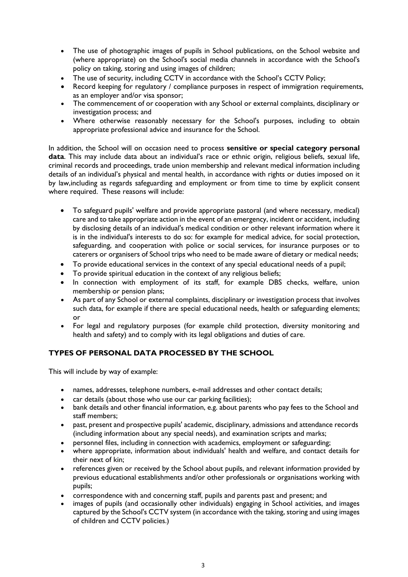- The use of photographic images of pupils in School publications, on the School website and (where appropriate) on the School's social media channels in accordance with the School's policy on taking, storing and using images of children;
- The use of security, including CCTV in accordance with the School's CCTV Policy;
- Record keeping for regulatory / compliance purposes in respect of immigration requirements, as an employer and/or visa sponsor;
- The commencement of or cooperation with any School or external complaints, disciplinary or investigation process; and
- Where otherwise reasonably necessary for the School's purposes, including to obtain appropriate professional advice and insurance for the School.

In addition, the School will on occasion need to process **sensitive or special category personal data**. This may include data about an individual's race or ethnic origin, religious beliefs, sexual life, criminal records and proceedings, trade union membership and relevant medical information including details of an individual's physical and mental health, in accordance with rights or duties imposed on it by law,including as regards safeguarding and employment or from time to time by explicit consent where required. These reasons will include:

- To safeguard pupils' welfare and provide appropriate pastoral (and where necessary, medical) care and to take appropriate action in the event of an emergency, incident or accident, including by disclosing details of an individual's medical condition or other relevant information where it is in the individual's interests to do so: for example for medical advice, for social protection, safeguarding, and cooperation with police or social services, for insurance purposes or to caterers or organisers of School trips who need to be made aware of dietary or medical needs;
- To provide educational services in the context of any special educational needs of a pupil;
- To provide spiritual education in the context of any religious beliefs;
- In connection with employment of its staff, for example DBS checks, welfare, union membership or pension plans;
- As part of any School or external complaints, disciplinary or investigation process that involves such data, for example if there are special educational needs, health or safeguarding elements; or
- For legal and regulatory purposes (for example child protection, diversity monitoring and health and safety) and to comply with its legal obligations and duties of care.

### **TYPES OF PERSONAL DATA PROCESSED BY THE SCHOOL**

This will include by way of example:

- names, addresses, telephone numbers, e-mail addresses and other contact details;
- car details (about those who use our car parking facilities);
- bank details and other financial information, e.g. about parents who pay fees to the School and staff members;
- past, present and prospective pupils' academic, disciplinary, admissions and attendance records (including information about any special needs), and examination scripts and marks;
- personnel files, including in connection with academics, employment or safeguarding;
- where appropriate, information about individuals' health and welfare, and contact details for their next of kin;
- references given or received by the School about pupils, and relevant information provided by previous educational establishments and/or other professionals or organisations working with pupils;
- correspondence with and concerning staff, pupils and parents past and present; and
- images of pupils (and occasionally other individuals) engaging in School activities, and images captured by the School's CCTV system (in accordance with the taking, storing and using images of children and CCTV policies.)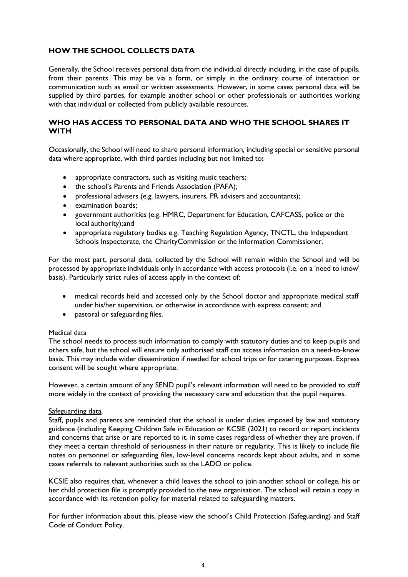# **HOW THE SCHOOL COLLECTS DATA**

Generally, the School receives personal data from the individual directly including, in the case of pupils, from their parents. This may be via a form, or simply in the ordinary course of interaction or communication such as email or written assessments. However, in some cases personal data will be supplied by third parties, for example another school or other professionals or authorities working with that individual or collected from publicly available resources.

#### **WHO HAS ACCESS TO PERSONAL DATA AND WHO THE SCHOOL SHARES IT WITH**

Occasionally, the School will need to share personal information, including special or sensitive personal data where appropriate, with third parties including but not limited to**:**

- appropriate contractors, such as visiting music teachers;
- the school's Parents and Friends Association (PAFA);
- professional advisers (e.g. lawyers, insurers, PR advisers and accountants);
- examination boards;
- government authorities (e.g. HMRC, Department for Education, CAFCASS, police or the local authority); and
- appropriate regulatory bodies e.g. Teaching Regulation Agency, TNCTL, the Independent Schools Inspectorate, the CharityCommission or the Information Commissioner.

For the most part, personal data, collected by the School will remain within the School and will be processed by appropriate individuals only in accordance with access protocols (i.e. on a 'need to know' basis). Particularly strict rules of access apply in the context of:

- medical records held and accessed only by the School doctor and appropriate medical staff under his/her supervision, or otherwise in accordance with express consent; and
- pastoral or safeguarding files.

#### Medical data

The school needs to process such information to comply with statutory duties and to keep pupils and others safe, but the school will ensure only authorised staff can access information on a need-to-know basis. This may include wider dissemination if needed for school trips or for catering purposes. Express consent will be sought where appropriate.

However, a certain amount of any SEND pupil's relevant information will need to be provided to staff more widely in the context of providing the necessary care and education that the pupil requires.

#### Safeguarding data.

Staff, pupils and parents are reminded that the school is under duties imposed by law and statutory guidance (including Keeping Children Safe in Education or KCSIE (2021) to record or report incidents and concerns that arise or are reported to it, in some cases regardless of whether they are proven, if they meet a certain threshold of seriousness in their nature or regularity. This is likely to include file notes on personnel or safeguarding files, low-level concerns records kept about adults, and in some cases referrals to relevant authorities such as the LADO or police.

KCSIE also requires that, whenever a child leaves the school to join another school or college, his or her child protection file is promptly provided to the new organisation. The school will retain a copy in accordance with its retention policy for material related to safeguarding matters.

For further information about this, please view the school's Child Protection (Safeguarding) and Staff Code of Conduct Policy.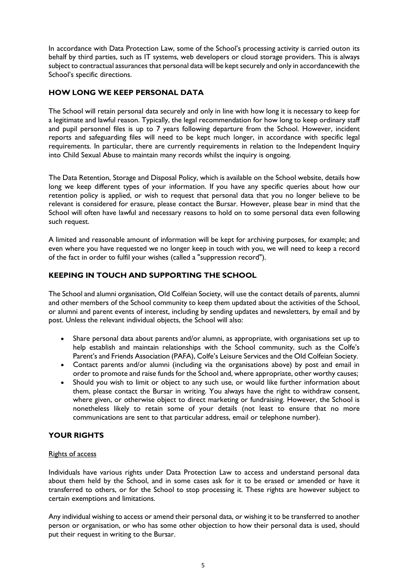In accordance with Data Protection Law, some of the School's processing activity is carried outon its behalf by third parties, such as IT systems, web developers or cloud storage providers. This is always subject to contractual assurances that personal data will be kept securely and only in accordancewith the School's specific directions.

# **HOW LONG WE KEEP PERSONAL DATA**

The School will retain personal data securely and only in line with how long it is necessary to keep for a legitimate and lawful reason. Typically, the legal recommendation for how long to keep ordinary staff and pupil personnel files is up to 7 years following departure from the School. However, incident reports and safeguarding files will need to be kept much longer, in accordance with specific legal requirements. In particular, there are currently requirements in relation to the Independent Inquiry into Child Sexual Abuse to maintain many records whilst the inquiry is ongoing.

The Data Retention, Storage and Disposal Policy, which is available on the School website, details how long we keep different types of your information. If you have any specific queries about how our retention policy is applied, or wish to request that personal data that you no longer believe to be relevant is considered for erasure, please contact the Bursar. However, please bear in mind that the School will often have lawful and necessary reasons to hold on to some personal data even following such request.

A limited and reasonable amount of information will be kept for archiving purposes, for example; and even where you have requested we no longer keep in touch with you, we will need to keep a record of the fact in order to fulfil your wishes (called a "suppression record").

# **KEEPING IN TOUCH AND SUPPORTING THE SCHOOL**

The School and alumni organisation, Old Colfeian Society, will use the contact details of parents, alumni and other members of the School community to keep them updated about the activities of the School, or alumni and parent events of interest, including by sending updates and newsletters, by email and by post. Unless the relevant individual objects, the School will also:

- Share personal data about parents and/or alumni, as appropriate, with organisations set up to help establish and maintain relationships with the School community, such as the Colfe's Parent's and Friends Association (PAFA), Colfe's Leisure Services and the Old Colfeian Society.
- Contact parents and/or alumni (including via the organisations above) by post and email in order to promote and raise funds for the School and, where appropriate, other worthy causes;
- Should you wish to limit or object to any such use, or would like further information about them, please contact the Bursar in writing. You always have the right to withdraw consent, where given, or otherwise object to direct marketing or fundraising. However, the School is nonetheless likely to retain some of your details (not least to ensure that no more communications are sent to that particular address, email or telephone number).

### **YOUR RIGHTS**

### Rights of access

Individuals have various rights under Data Protection Law to access and understand personal data about them held by the School, and in some cases ask for it to be erased or amended or have it transferred to others, or for the School to stop processing it. These rights are however subject to certain exemptions and limitations.

Any individual wishing to access or amend their personal data, or wishing it to be transferred to another person or organisation, or who has some other objection to how their personal data is used, should put their request in writing to the Bursar.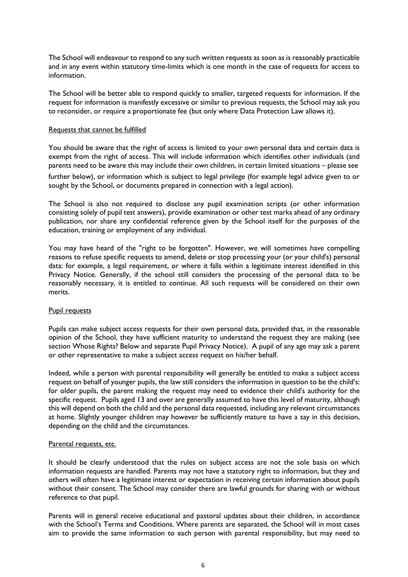The School will endeavour to respond to any such written requests as soon as is reasonably practicable and in any event within statutory time-limits which is one month in the case of requests for access to information.

The School will be better able to respond quickly to smaller, targeted requests for information. If the request for information is manifestly excessive or similar to previous requests, the School may ask you to reconsider, or require a proportionate fee (but only where Data Protection Law allows it).

#### Requests that cannot be fulfilled

You should be aware that the right of access is limited to your own personal data and certain data is exempt from the right of access. This will include information which identifies other individuals (and parents need to be aware this may include their own children, in certain limited situations – please see

further below), or information which is subject to legal privilege (for example legal advice given to or sought by the School, or documents prepared in connection with a legal action).

The School is also not required to disclose any pupil examination scripts (or other information consisting solely of pupil test answers), provide examination or other test marks ahead of any ordinary publication, nor share any confidential reference given by the School itself for the purposes of the education, training or employment of any individual.

You may have heard of the "right to be forgotten". However, we will sometimes have compelling reasons to refuse specific requests to amend, delete or stop processing your (or your child's) personal data: for example, a legal requirement, or where it falls within a legitimate interest identified in this Privacy Notice. Generally, if the school still considers the processing of the personal data to be reasonably necessary, it is entitled to continue. All such requests will be considered on their own merits.

#### Pupil requests

Pupils can make subject access requests for their own personal data, provided that, in the reasonable opinion of the School, they have sufficient maturity to understand the request they are making (see section Whose Rights? Below and separate Pupil Privacy Notice). A pupil of any age may ask a parent or other representative to make a subject access request on his/her behalf.

Indeed, while a person with parental responsibility will generally be entitled to make a subject access request on behalf of younger pupils, the law still considers the information in question to be the child's: for older pupils, the parent making the request may need to evidence their child's authority for the specific request. Pupils aged 13 and over are generally assumed to have this level of maturity, although this will depend on both the child and the personal data requested, including any relevant circumstances at home. Slightly younger children may however be sufficiently mature to have a say in this decision, depending on the child and the circumstances.

#### Parental requests, etc.

It should be clearly understood that the rules on subject access are not the sole basis on which information requests are handled. Parents may not have a statutory right to information, but they and others will often have a legitimate interest or expectation in receiving certain information about pupils without their consent. The School may consider there are lawful grounds for sharing with or without reference to that pupil.

Parents will in general receive educational and pastoral updates about their children, in accordance with the School's Terms and Conditions. Where parents are separated, the School will in most cases aim to provide the same information to each person with parental responsibility, but may need to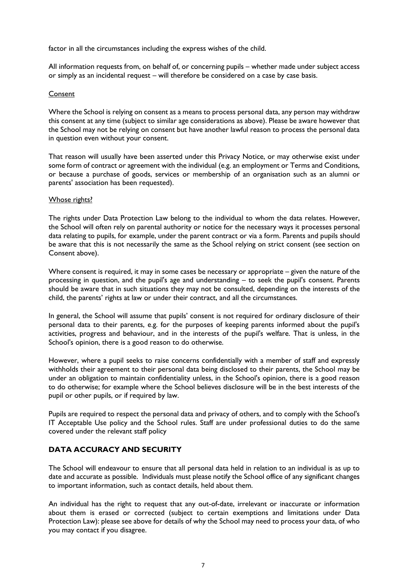factor in all the circumstances including the express wishes of the child.

All information requests from, on behalf of, or concerning pupils – whether made under subject access or simply as an incidental request – will therefore be considered on a case by case basis.

#### Consent

Where the School is relying on consent as a means to process personal data, any person may withdraw this consent at any time (subject to similar age considerations as above). Please be aware however that the School may not be relying on consent but have another lawful reason to process the personal data in question even without your consent.

That reason will usually have been asserted under this Privacy Notice, or may otherwise exist under some form of contract or agreement with the individual (e.g. an employment or Terms and Conditions, or because a purchase of goods, services or membership of an organisation such as an alumni or parents' association has been requested).

#### Whose rights?

The rights under Data Protection Law belong to the individual to whom the data relates. However, the School will often rely on parental authority or notice for the necessary ways it processes personal data relating to pupils, for example, under the parent contract or via a form. Parents and pupils should be aware that this is not necessarily the same as the School relying on strict consent (see section on Consent above).

Where consent is required, it may in some cases be necessary or appropriate – given the nature of the processing in question, and the pupil's age and understanding – to seek the pupil's consent. Parents should be aware that in such situations they may not be consulted, depending on the interests of the child, the parents' rights at law or under their contract, and all the circumstances.

In general, the School will assume that pupils' consent is not required for ordinary disclosure of their personal data to their parents, e.g. for the purposes of keeping parents informed about the pupil's activities, progress and behaviour, and in the interests of the pupil's welfare. That is unless, in the School's opinion, there is a good reason to do otherwise.

However, where a pupil seeks to raise concerns confidentially with a member of staff and expressly withholds their agreement to their personal data being disclosed to their parents, the School may be under an obligation to maintain confidentiality unless, in the School's opinion, there is a good reason to do otherwise; for example where the School believes disclosure will be in the best interests of the pupil or other pupils, or if required by law.

Pupils are required to respect the personal data and privacy of others, and to comply with the School's IT Acceptable Use policy and the School rules. Staff are under professional duties to do the same covered under the relevant staff policy

### **DATA ACCURACY AND SECURITY**

The School will endeavour to ensure that all personal data held in relation to an individual is as up to date and accurate as possible. Individuals must please notify the School office of any significant changes to important information, such as contact details, held about them.

An individual has the right to request that any out-of-date, irrelevant or inaccurate or information about them is erased or corrected (subject to certain exemptions and limitations under Data Protection Law): please see above for details of why the School may need to process your data, of who you may contact if you disagree.